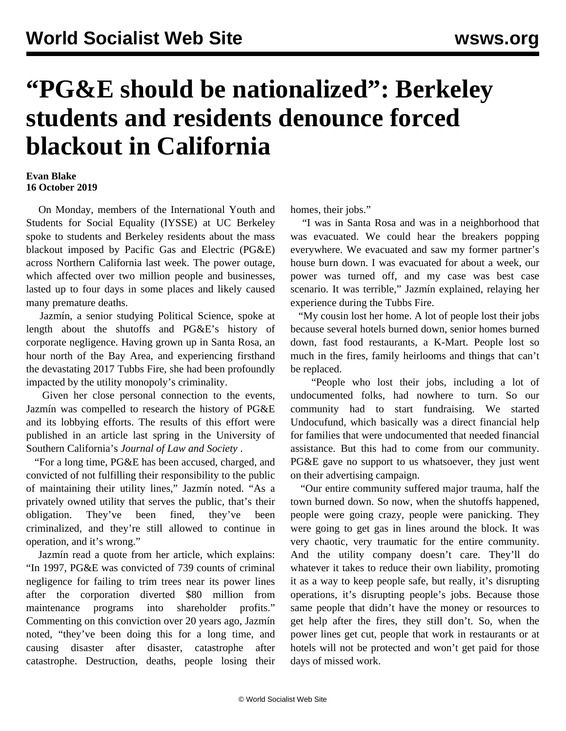## **"PG&E should be nationalized": Berkeley students and residents denounce forced blackout in California**

## **Evan Blake 16 October 2019**

 On Monday, members of the International Youth and Students for Social Equality (IYSSE) at UC Berkeley spoke to students and Berkeley residents about the mass blackout imposed by Pacific Gas and Electric (PG&E) across Northern California last week. The power outage, which affected over two million people and businesses, lasted up to four days in some places and likely caused many premature deaths.

 Jazmín, a senior studying Political Science, spoke at length about the shutoffs and PG&E's history of corporate negligence. Having grown up in Santa Rosa, an hour north of the Bay Area, and experiencing firsthand the devastating 2017 Tubbs Fire, she had been profoundly impacted by the utility monopoly's criminality.

 Given her close personal connection to the events, Jazmín was compelled to research the history of PG&E and its lobbying efforts. The results of this effort were published in an article last spring in the University of Southern California's *Journal of Law and Society* .

 "For a long time, PG&E has been accused, charged, and convicted of not fulfilling their responsibility to the public of maintaining their utility lines," Jazmín noted. "As a privately owned utility that serves the public, that's their obligation. They've been fined, they've been criminalized, and they're still allowed to continue in operation, and it's wrong."

 Jazmín read a quote from her article, which explains: "In 1997, PG&E was convicted of 739 counts of criminal negligence for failing to trim trees near its power lines after the corporation diverted \$80 million from maintenance programs into shareholder profits." Commenting on this conviction over 20 years ago, Jazmín noted, "they've been doing this for a long time, and causing disaster after disaster, catastrophe after catastrophe. Destruction, deaths, people losing their

homes, their jobs."

 "I was in Santa Rosa and was in a neighborhood that was evacuated. We could hear the breakers popping everywhere. We evacuated and saw my former partner's house burn down. I was evacuated for about a week, our power was turned off, and my case was best case scenario. It was terrible," Jazmín explained, relaying her experience during the Tubbs Fire.

 "My cousin lost her home. A lot of people lost their jobs because several hotels burned down, senior homes burned down, fast food restaurants, a K-Mart. People lost so much in the fires, family heirlooms and things that can't be replaced.

 "People who lost their jobs, including a lot of undocumented folks, had nowhere to turn. So our community had to start fundraising. We started Undocufund, which basically was a direct financial help for families that were undocumented that needed financial assistance. But this had to come from our community. PG&E gave no support to us whatsoever, they just went on their advertising campaign.

 "Our entire community suffered major trauma, half the town burned down. So now, when the shutoffs happened, people were going crazy, people were panicking. They were going to get gas in lines around the block. It was very chaotic, very traumatic for the entire community. And the utility company doesn't care. They'll do whatever it takes to reduce their own liability, promoting it as a way to keep people safe, but really, it's disrupting operations, it's disrupting people's jobs. Because those same people that didn't have the money or resources to get help after the fires, they still don't. So, when the power lines get cut, people that work in restaurants or at hotels will not be protected and won't get paid for those days of missed work.